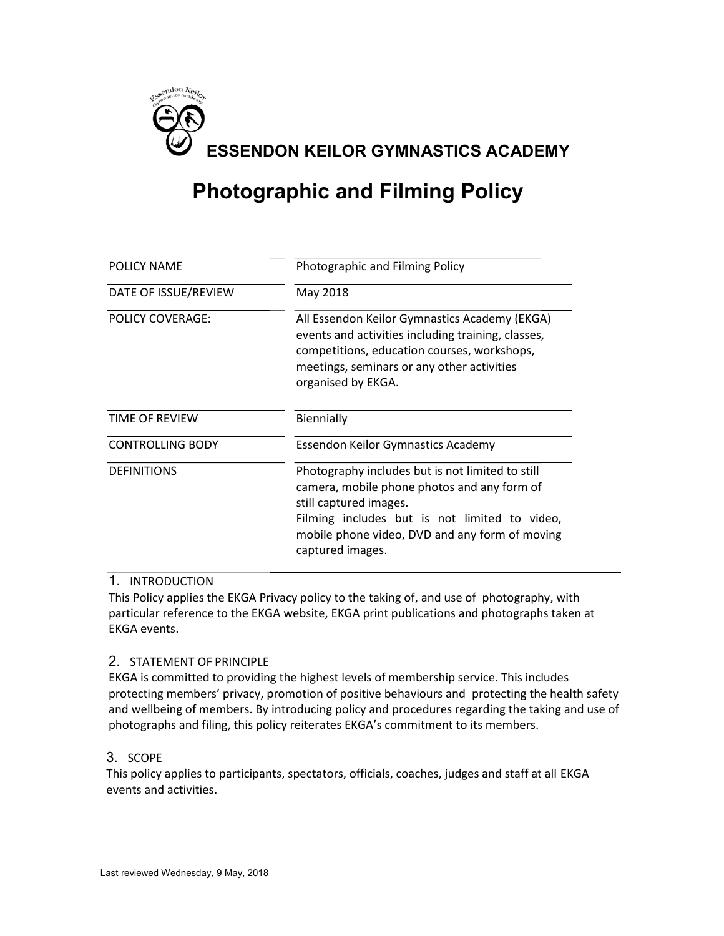

# **Photographic and Filming Policy**

| POLICY NAME                        | Photographic and Filming Policy                                                                                                                                                                                                                  |
|------------------------------------|--------------------------------------------------------------------------------------------------------------------------------------------------------------------------------------------------------------------------------------------------|
| DATE OF ISSUE/REVIEW               | May 2018                                                                                                                                                                                                                                         |
| <b>POLICY COVERAGE:</b>            | All Essendon Keilor Gymnastics Academy (EKGA)<br>events and activities including training, classes,<br>competitions, education courses, workshops,<br>meetings, seminars or any other activities<br>organised by EKGA.                           |
| TIME OF REVIEW                     | Biennially                                                                                                                                                                                                                                       |
| <b>CONTROLLING BODY</b>            | <b>Essendon Keilor Gymnastics Academy</b>                                                                                                                                                                                                        |
| <b>DEFINITIONS</b>                 | Photography includes but is not limited to still<br>camera, mobile phone photos and any form of<br>still captured images.<br>Filming includes but is not limited to video,<br>mobile phone video, DVD and any form of moving<br>captured images. |
| $\mathbf 1$<br><b>INTRODUCTION</b> | This Policy applies the EKGA Privacy policy to the taking of, and use of photography, with<br>particular reference to the EKGA website, EKGA print publications and photographs taken at                                                         |

#### 1. INTRODUCTION

This Policy applies the EKGA Privacy policy to the taking of, and use of photography, with EKGA events.

#### 2. STATEMENT OF PRINCIPLE

EKGA is committed to providing the highest levels of membership service. This includes protecting members' privacy, promotion of positive behaviours and protecting the health safety and wellbeing of members. By introducing policy and procedures regarding the taking and use of photographs and filing, this policy reiterates EKGA's commitment to its members. rice. This includes<br>rotecting the health s<br>rding the taking and us<br>members.<br>and staff at all EKGA

# 3. SCOPE

This policy applies to participants, spectators, officials, coaches, judges and staff at all events and activities.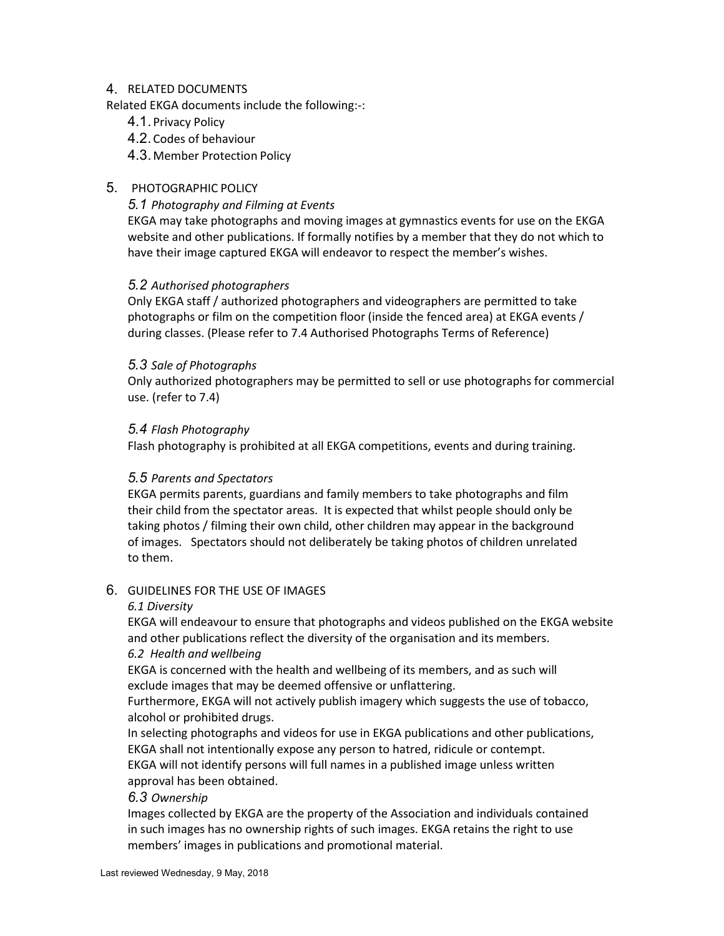#### 4. RELATED DOCUMENTS

Related EKGA documents include the following:-:

- 4.1. Privacy Policy
- 4.2. Codes of behaviour

4.3. Member Protection Policy

# 5. PHOTOGRAPHIC POLICY

#### 5.1 Photography and Filming at Events

EKGA may take photographs and moving images at gymnastics events for use on the EKGA website and other publications. If formally notifies by a member that they do not which to have their image captured EKGA will endeavor to respect the member's wishes.

#### 5.2 Authorised photographers

Only EKGA staff / authorized photographers and videographers are permitted to take photographs or film on the competition floor (inside the fenced area) at EKGA events / during classes. (Please refer to 7.4 Authorised Photographs Terms of Reference)

#### 5.3 Sale of Photographs

Only authorized photographers may be permitted to sell or use photographs for commercial use. (refer to 7.4)

#### 5.4 Flash Photography

Flash photography is prohibited at all EKGA competitions, events and during training.

#### 5.5 Parents and Spectators

EKGA permits parents, guardians and family members to take photographs and film their child from the spectator areas. It is expected that whilst people should only be taking photos / filming their own child, other children may appear in the background of images. Spectators should not deliberately be taking photos of children unrelated to them.

#### 6. GUIDELINES FOR THE USE OF IMAGES

#### 6.1 Diversity

EKGA will endeavour to ensure that photographs and videos published on the EKGA website and other publications reflect the diversity of the organisation and its members.

## 6.2 Health and wellbeing

EKGA is concerned with the health and wellbeing of its members, and as such will exclude images that may be deemed offensive or unflattering.

Furthermore, EKGA will not actively publish imagery which suggests the use of tobacco, alcohol or prohibited drugs.

In selecting photographs and videos for use in EKGA publications and other publications, EKGA shall not intentionally expose any person to hatred, ridicule or contempt. EKGA will not identify persons will full names in a published image unless written approval has been obtained.

#### 6.3 Ownership

Images collected by EKGA are the property of the Association and individuals contained in such images has no ownership rights of such images. EKGA retains the right to use members' images in publications and promotional material.